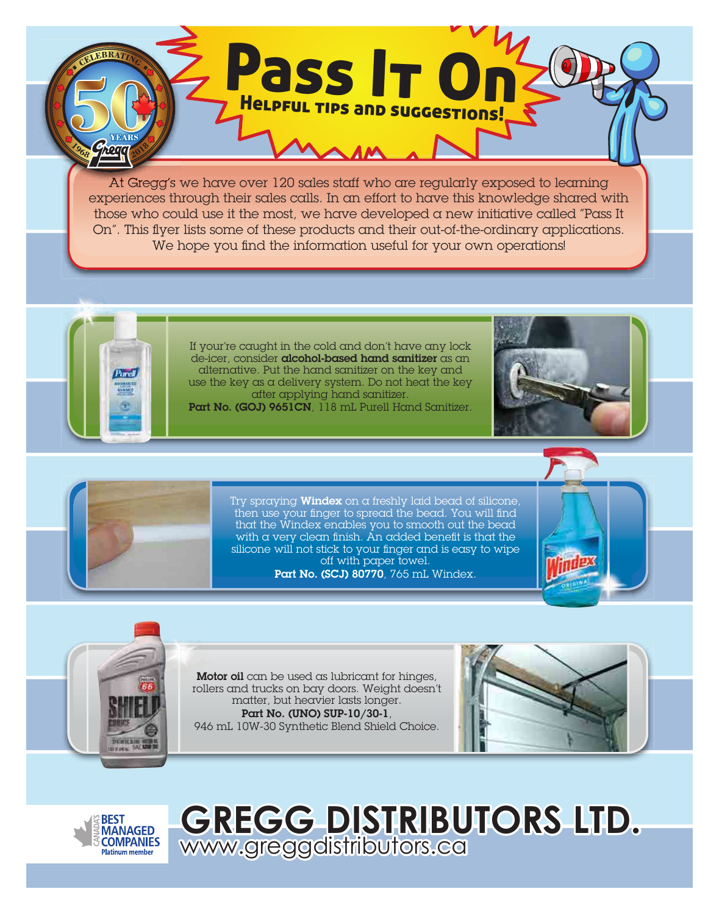At Gregg's we have over 120 sales staff who are regularly exposed to learning experiences through their sales calls. In an effort to have this knowledge shared with those who could use it the most, we have developed a new initiative called "Pass It On". This flyer lists some of these products and their out-of-the-ordinary applications. We hope you find the information useful for your own operations!

Pass It On

Helpful tips and suggestions!



**EBRAT** 

hoa

If your're caught in the cold and don't have any lock de-icer, consider **alcohol-based hand sanitizer** as an alternative. Put the hand sanitizer on the key and use the key as a delivery system. Do not heat the key after applying hand sanitizer.

Part No. (GOJ) 9651CN, 118 mL Purell Hand Sanitizer.





Try spraying **Windex** on a freshly laid bead of silicone, then use your finger to spread the bead. You will find that the Windex enables you to smooth out the bead with a very clean finish. An added benefit is that the silicone will not stick to your finger and is easy to wipe off with paper towel. Part No. (SCJ) 80770, 765 mL Windex.





Motor oil can be used as lubricant for hinges, rollers and trucks on bay doors. Weight doesn't matter, but heavier lasts longer. Part No. (UNO) SUP-10/30-1, 946 mL 10W-30 Synthetic Blend Shield Choice.





**GREGG DISTRIBUTORS LTD.**  www.greggdistributors.ca